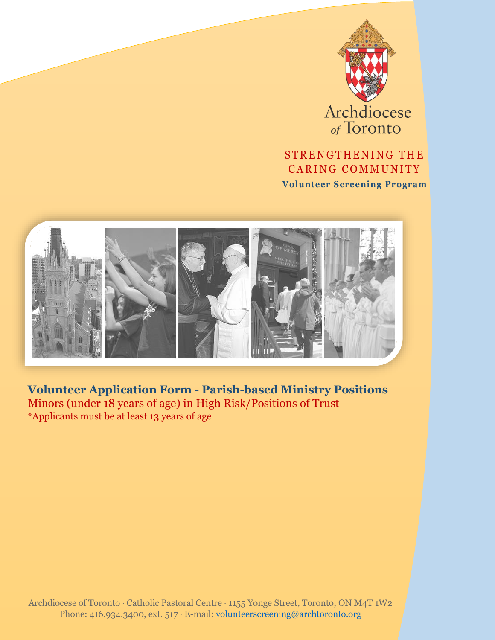

# STRENGTHENING THE CARING COMMUNITY

**Volunteer Screening Program**



**Volunteer Application Form - Parish-based Ministry Positions** Minors (under 18 years of age) in High Risk/Positions of Trust \*Applicants must be at least 13 years of age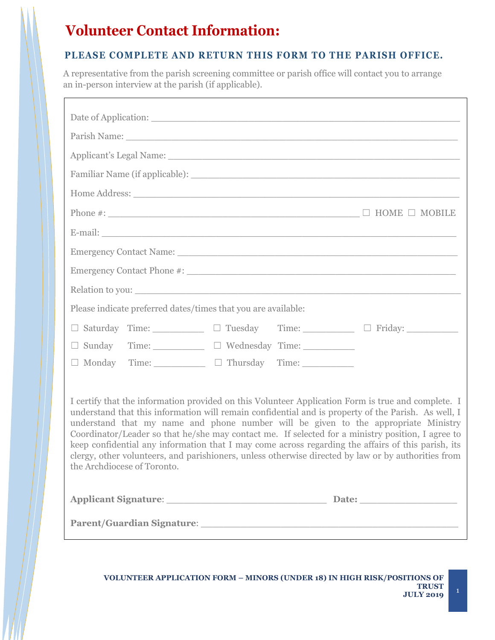# **Volunteer Contact Information:**

### **PLEASE COMPLETE AND RETURN THIS FORM TO THE PARISH OFFICE.**

A representative from the parish screening committee or parish office will contact you to arrange an in-person interview at the parish (if applicable).

| Applicant's Legal Name: 1996. [19] Applicant's Legal Name: 1997. [19] Applicant's Legal Name: 1997. [19] Applicant of the United States of the United States of the United States of the United States of the United States of                                                                                                                                                                                                                                                                                                                                                                                                                   |  |  |  |
|--------------------------------------------------------------------------------------------------------------------------------------------------------------------------------------------------------------------------------------------------------------------------------------------------------------------------------------------------------------------------------------------------------------------------------------------------------------------------------------------------------------------------------------------------------------------------------------------------------------------------------------------------|--|--|--|
|                                                                                                                                                                                                                                                                                                                                                                                                                                                                                                                                                                                                                                                  |  |  |  |
|                                                                                                                                                                                                                                                                                                                                                                                                                                                                                                                                                                                                                                                  |  |  |  |
|                                                                                                                                                                                                                                                                                                                                                                                                                                                                                                                                                                                                                                                  |  |  |  |
|                                                                                                                                                                                                                                                                                                                                                                                                                                                                                                                                                                                                                                                  |  |  |  |
|                                                                                                                                                                                                                                                                                                                                                                                                                                                                                                                                                                                                                                                  |  |  |  |
|                                                                                                                                                                                                                                                                                                                                                                                                                                                                                                                                                                                                                                                  |  |  |  |
|                                                                                                                                                                                                                                                                                                                                                                                                                                                                                                                                                                                                                                                  |  |  |  |
| Please indicate preferred dates/times that you are available:                                                                                                                                                                                                                                                                                                                                                                                                                                                                                                                                                                                    |  |  |  |
| □ Saturday Time: □ Tuesday Time: □ Friday: □ Tuesday Time: □ Friday:                                                                                                                                                                                                                                                                                                                                                                                                                                                                                                                                                                             |  |  |  |
| □ Sunday Time: □ Wednesday Time: □                                                                                                                                                                                                                                                                                                                                                                                                                                                                                                                                                                                                               |  |  |  |
| $\Box$ Monday Time: $\Box$ Thursday Time:                                                                                                                                                                                                                                                                                                                                                                                                                                                                                                                                                                                                        |  |  |  |
| I certify that the information provided on this Volunteer Application Form is true and complete. I<br>understand that this information will remain confidential and is property of the Parish. As well, I<br>understand that my name and phone number will be given to the appropriate Ministry<br>Coordinator/Leader so that he/she may contact me. If selected for a ministry position, I agree to<br>keep confidential any information that I may come across regarding the affairs of this parish, its<br>clergy, other volunteers, and parishioners, unless otherwise directed by law or by authorities from<br>the Archdiocese of Toronto. |  |  |  |
|                                                                                                                                                                                                                                                                                                                                                                                                                                                                                                                                                                                                                                                  |  |  |  |
| Parent/Guardian Signature: 2008 2010 2020 2021 2022 2022 2023 2024 2022 2022 2023 2024 2022 2023 2024 2022 20                                                                                                                                                                                                                                                                                                                                                                                                                                                                                                                                    |  |  |  |

٦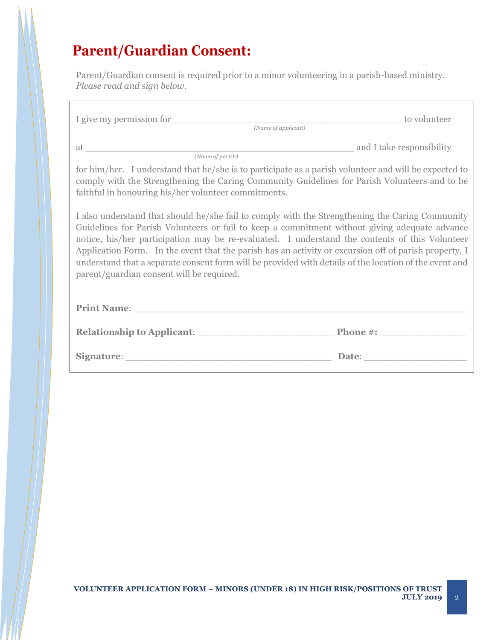# **Parent/Guardian Consent:**

Parent/Guardian consent is required prior to a minor volunteering in a parish-based ministry. *Please read and sign below.*

| I give my permission for <i>(Name of applicant)</i>                                                                                                                                                                                                                                                                                                            | to volunteer                                                                                                                                                                                                                   |  |
|----------------------------------------------------------------------------------------------------------------------------------------------------------------------------------------------------------------------------------------------------------------------------------------------------------------------------------------------------------------|--------------------------------------------------------------------------------------------------------------------------------------------------------------------------------------------------------------------------------|--|
| (Name of parish)<br>for him/her. I understand that he/she is to participate as a parish volunteer and will be expected to<br>comply with the Strengthening the Caring Community Guidelines for Parish Volunteers and to be                                                                                                                                     |                                                                                                                                                                                                                                |  |
| faithful in honouring his/her volunteer commitments.<br>I also understand that should he/she fail to comply with the Strengthening the Caring Community<br>Guidelines for Parish Volunteers or fail to keep a commitment without giving adequate advance                                                                                                       |                                                                                                                                                                                                                                |  |
| notice, his/her participation may be re-evaluated. I understand the contents of this Volunteer<br>Application Form. In the event that the parish has an activity or excursion off of parish property, I<br>understand that a separate consent form will be provided with details of the location of the event and<br>parent/guardian consent will be required. |                                                                                                                                                                                                                                |  |
| <b>Print Name:</b>                                                                                                                                                                                                                                                                                                                                             |                                                                                                                                                                                                                                |  |
|                                                                                                                                                                                                                                                                                                                                                                |                                                                                                                                                                                                                                |  |
| Signature: Signature:                                                                                                                                                                                                                                                                                                                                          | Date: the contract of the contract of the contract of the contract of the contract of the contract of the contract of the contract of the contract of the contract of the contract of the contract of the contract of the cont |  |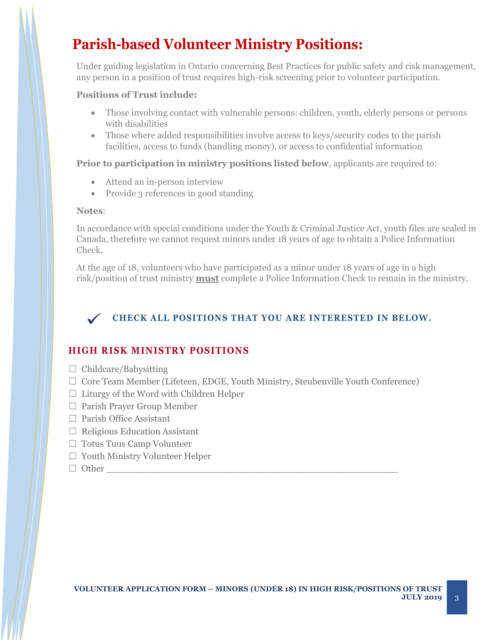# **Parish-based Volunteer Ministry Positions:**

Under guiding legislation in Ontario concerning Best Practices for public safety and risk management, any person in a position of trust requires high-risk screening prior to volunteer participation.

### **Positions of Trust include:**

- Those involving contact with vulnerable persons: children, youth, elderly persons or persons with disabilities
- Those where added responsibilities involve access to keys/security codes to the parish facilities, access to funds (handling money), or access to confidential information

### **Prior to participation in ministry positions listed below**, applicants are required to:

- Attend an in-person interview
- Provide 3 references in good standing

#### **Notes**:

In accordance with special conditions under the Youth & Criminal Justice Act, youth files are sealed in Canada, therefore we cannot request minors under 18 years of age to obtain a Police Information Check.

At the age of 18, volunteers who have participated as a minor under 18 years of age in a high risk/position of trust ministry **must** complete a Police Information Check to remain in the ministry.



### **CHECK ALL POSITIONS THAT YOU ARE INTERESTED IN BELOW.**

## **HIGH RISK MINISTRY POSITIONS**

- $\Box$  Childcare/Babysitting
- ☐ Core Team Member (Lifeteen, EDGE, Youth Ministry, Steubenville Youth Conference)
- $\Box$  Liturgy of the Word with Children Helper
- □ Parish Prayer Group Member
- ☐ Parish Office Assistant
- $\Box$  Religious Education Assistant
- ☐ Totus Tuus Camp Volunteer
- $\Box$  Youth Ministry Volunteer Helper
- $\Box$  Other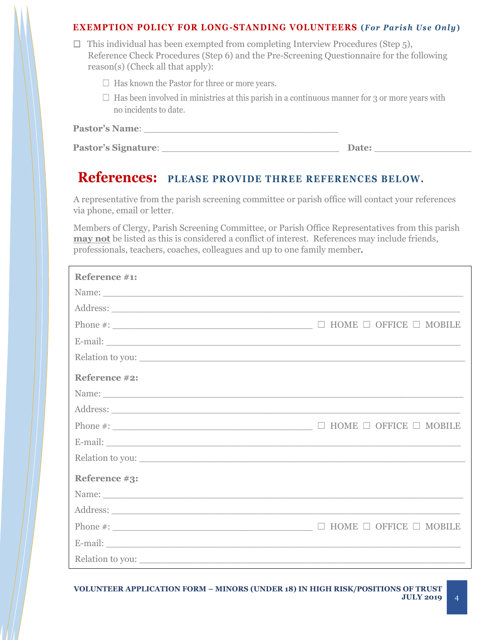### **EXEMPTION POLICY FOR LONG-STANDING VOLUNTEERS** (*For Parish Use Only*)

| $\Box$ This individual has been exempted from completing Interview Procedures (Step 5),   |
|-------------------------------------------------------------------------------------------|
| Reference Check Procedures (Step 6) and the Pre-Screening Questionnaire for the following |
| reason(s) (Check all that apply):                                                         |

- $\Box$  Has known the Pastor for three or more years.
- $\Box$  Has been involved in ministries at this parish in a continuous manner for 3 or more years with no incidents to date.

| <b>Pastor's Signature:</b> |  |
|----------------------------|--|
|----------------------------|--|

**Participarticle**:  $\blacksquare$ 

## **References: PLEASE PROVIDE THREE REFERENCES BELOW.**

A representative from the parish screening committee or parish office will contact your references via phone, email or letter.

Members of Clergy, Parish Screening Committee, or Parish Office Representatives from this parish **may not** be listed as this is considered a conflict of interest. References may include friends, professionals, teachers, coaches, colleagues and up to one family member.

| Reference #1:    |                                            |
|------------------|--------------------------------------------|
|                  |                                            |
|                  |                                            |
|                  | $\Box$ HOME $\Box$ OFFICE $\Box$ MOBILE    |
|                  |                                            |
| Relation to you: |                                            |
| Reference #2:    |                                            |
|                  |                                            |
|                  |                                            |
|                  |                                            |
|                  |                                            |
| Relation to you: |                                            |
| Reference #3:    |                                            |
| Name: Name:      |                                            |
|                  |                                            |
| Phone $\#$ :     | HOME $\Box$ OFFICE $\Box$ MOBILE<br>$\Box$ |
|                  |                                            |
| Relation to you: |                                            |